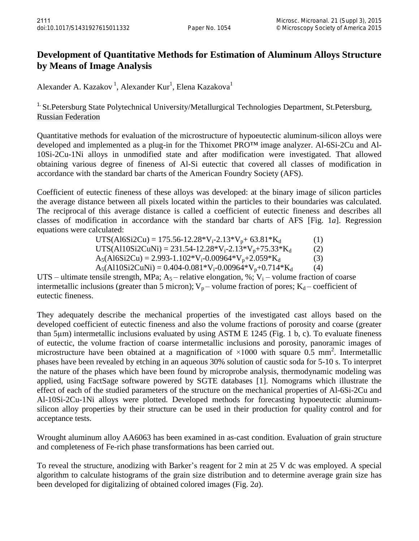## **Development of Quantitative Methods for Estimation of Aluminum Alloys Structure by Means of Image Analysis**

Alexander A. Kazakov <sup>1</sup>, Alexander Kur<sup>1</sup>, Elena Kazakova<sup>1</sup>

<sup>1.</sup> St.Petersburg State Polytechnical University/Metallurgical Technologies Department, St.Petersburg, Russian Federation

Quantitative methods for evaluation of the microstructure of hypoeutectic aluminum-silicon alloys were developed and implemented as a plug-in for the Thixomet PRO™ image analyzer. Al-6Si-2Cu and Al-10Si-2Cu-1Ni alloys in unmodified state and after modification were investigated. That allowed obtaining various degree of fineness of Al-Si eutectic that covered all classes of modification in accordance with the standard bar charts of the American Foundry Society (AFS).

Coefficient of eutectic fineness of these alloys was developed: at the binary image of silicon particles the average distance between all pixels located within the particles to their boundaries was calculated. The reciprocal of this average distance is called a coefficient of eutectic fineness and describes all classes of modification in accordance with the standard bar charts of AFS [Fig. 1*a*]. Regression equations were calculated:

| $UTS(Al6Si2Cu) = 175.56-12.28*V_i-2.13*V_p+63.81*K_d$                                     | (1) |
|-------------------------------------------------------------------------------------------|-----|
| UTS(Al10Si2CuNi) = 231.54-12.28*V <sub>i</sub> -2.13*V <sub>p</sub> +75.33*K <sub>d</sub> | (2) |
| $A_5(A16Si2Cu) = 2.993-1.102*V_i-0.00964*V_p+2.059*K_d$                                   | (3) |
| $A_5(A110Si2CuNi) = 0.404-0.081*V_i-0.00964*V_p+0.714*K_d$                                | (4) |

UTS – ultimate tensile strength, MPa;  $A_5$  – relative elongation, %; V<sub>i</sub> – volume fraction of coarse intermetallic inclusions (greater than 5 micron);  $V_p$  – volume fraction of pores;  $K_d$  – coefficient of eutectic fineness.

They adequately describe the mechanical properties of the investigated cast alloys based on the developed coefficient of eutectic fineness and also the volume fractions of porosity and coarse (greater than 5µm) intermetallic inclusions evaluated by using ASTM E 1245 (Fig. 1 b, c). To evaluate fineness of eutectic, the volume fraction of coarse intermetallic inclusions and porosity, panoramic images of microstructure have been obtained at a magnification of  $\times$ 1000 with square 0.5 mm<sup>2</sup>. Intermetallic phases have been revealed by etching in an aqueous 30% solution of caustic soda for 5-10 s. To interpret the nature of the phases which have been found by microprobe analysis, thermodynamic modeling was applied, using FactSage software powered by SGTE databases [1]. Nomograms which illustrate the effect of each of the studied parameters of the structure on the mechanical properties of Al-6Si-2Cu and Al-10Si-2Cu-1Ni alloys were plotted. Developed methods for forecasting hypoeutectic aluminumsilicon alloy properties by their structure can be used in their production for quality control and for acceptance tests.

Wrought aluminum alloy AA6063 has been examined in as-cast condition. Evaluation of grain structure and completeness of Fe-rich phase transformations has been carried out.

To reveal the structure, anodizing with Barker's reagent for 2 min at 25 V dc was employed. A special algorithm to calculate histograms of the grain size distribution and to determine average grain size has been developed for digitalizing of obtained colored images (Fig. 2*a*).